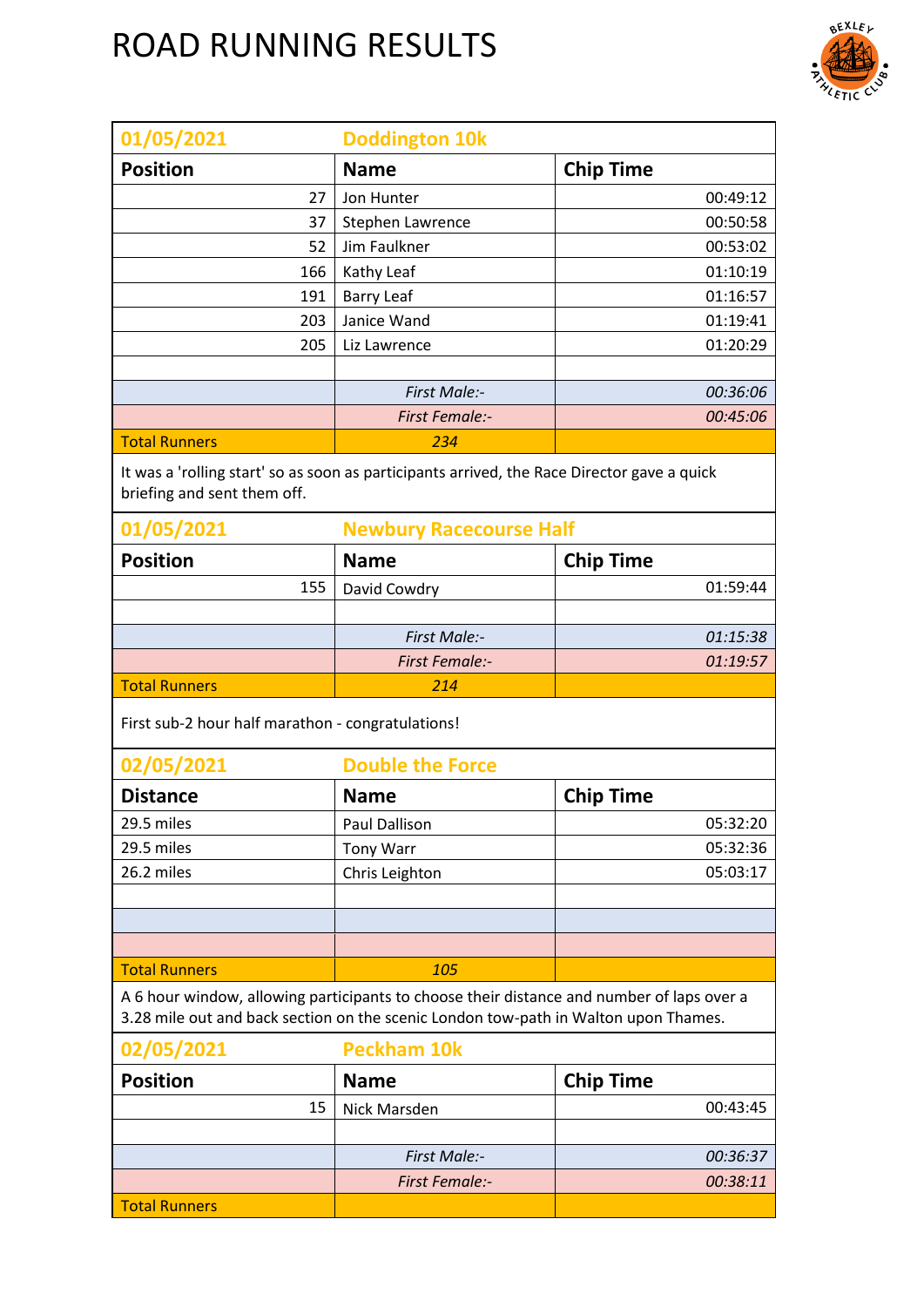

| 01/05/2021                                                                                                                 | <b>Doddington 10k</b>                                                                                                                                                            |                  |  |
|----------------------------------------------------------------------------------------------------------------------------|----------------------------------------------------------------------------------------------------------------------------------------------------------------------------------|------------------|--|
| <b>Position</b>                                                                                                            | <b>Name</b>                                                                                                                                                                      | <b>Chip Time</b> |  |
| 27                                                                                                                         | Jon Hunter                                                                                                                                                                       | 00:49:12         |  |
| 37                                                                                                                         | Stephen Lawrence                                                                                                                                                                 | 00:50:58         |  |
| 52                                                                                                                         | Jim Faulkner                                                                                                                                                                     | 00:53:02         |  |
| 166                                                                                                                        | Kathy Leaf                                                                                                                                                                       | 01:10:19         |  |
| 191                                                                                                                        | <b>Barry Leaf</b>                                                                                                                                                                | 01:16:57         |  |
| 203                                                                                                                        | Janice Wand                                                                                                                                                                      | 01:19:41         |  |
| 205                                                                                                                        | Liz Lawrence                                                                                                                                                                     | 01:20:29         |  |
|                                                                                                                            |                                                                                                                                                                                  |                  |  |
|                                                                                                                            | <b>First Male:-</b>                                                                                                                                                              | 00:36:06         |  |
| <b>Total Runners</b>                                                                                                       | <b>First Female:-</b><br>234                                                                                                                                                     | 00:45:06         |  |
|                                                                                                                            |                                                                                                                                                                                  |                  |  |
| It was a 'rolling start' so as soon as participants arrived, the Race Director gave a quick<br>briefing and sent them off. |                                                                                                                                                                                  |                  |  |
| 01/05/2021                                                                                                                 | <b>Newbury Racecourse Half</b>                                                                                                                                                   |                  |  |
| <b>Position</b>                                                                                                            | <b>Name</b>                                                                                                                                                                      | <b>Chip Time</b> |  |
| 155                                                                                                                        | David Cowdry                                                                                                                                                                     | 01:59:44         |  |
|                                                                                                                            |                                                                                                                                                                                  |                  |  |
|                                                                                                                            | First Male:-                                                                                                                                                                     | 01:15:38         |  |
|                                                                                                                            | <b>First Female:-</b>                                                                                                                                                            | 01:19:57         |  |
| <b>Total Runners</b>                                                                                                       | 214                                                                                                                                                                              |                  |  |
| First sub-2 hour half marathon - congratulations!                                                                          |                                                                                                                                                                                  |                  |  |
| 02/05/2021                                                                                                                 | <b>Double the Force</b>                                                                                                                                                          |                  |  |
| <b>Distance</b>                                                                                                            | <b>Name</b>                                                                                                                                                                      | <b>Chip Time</b> |  |
| 29.5 miles                                                                                                                 | Paul Dallison                                                                                                                                                                    | 05:32:20         |  |
| 29.5 miles                                                                                                                 | <b>Tony Warr</b>                                                                                                                                                                 | 05:32:36         |  |
| 26.2 miles                                                                                                                 | Chris Leighton                                                                                                                                                                   | 05:03:17         |  |
|                                                                                                                            |                                                                                                                                                                                  |                  |  |
|                                                                                                                            |                                                                                                                                                                                  |                  |  |
|                                                                                                                            |                                                                                                                                                                                  |                  |  |
| <b>Total Runners</b>                                                                                                       | 105                                                                                                                                                                              |                  |  |
|                                                                                                                            | A 6 hour window, allowing participants to choose their distance and number of laps over a<br>3.28 mile out and back section on the scenic London tow-path in Walton upon Thames. |                  |  |
| 02/05/2021                                                                                                                 | <b>Peckham 10k</b>                                                                                                                                                               |                  |  |
| <b>Position</b>                                                                                                            | <b>Name</b>                                                                                                                                                                      | <b>Chip Time</b> |  |
| 15                                                                                                                         | Nick Marsden                                                                                                                                                                     | 00:43:45         |  |
|                                                                                                                            |                                                                                                                                                                                  |                  |  |
|                                                                                                                            | First Male:-                                                                                                                                                                     | 00:36:37         |  |
|                                                                                                                            | <b>First Female:-</b>                                                                                                                                                            | 00:38:11         |  |
| <b>Total Runners</b>                                                                                                       |                                                                                                                                                                                  |                  |  |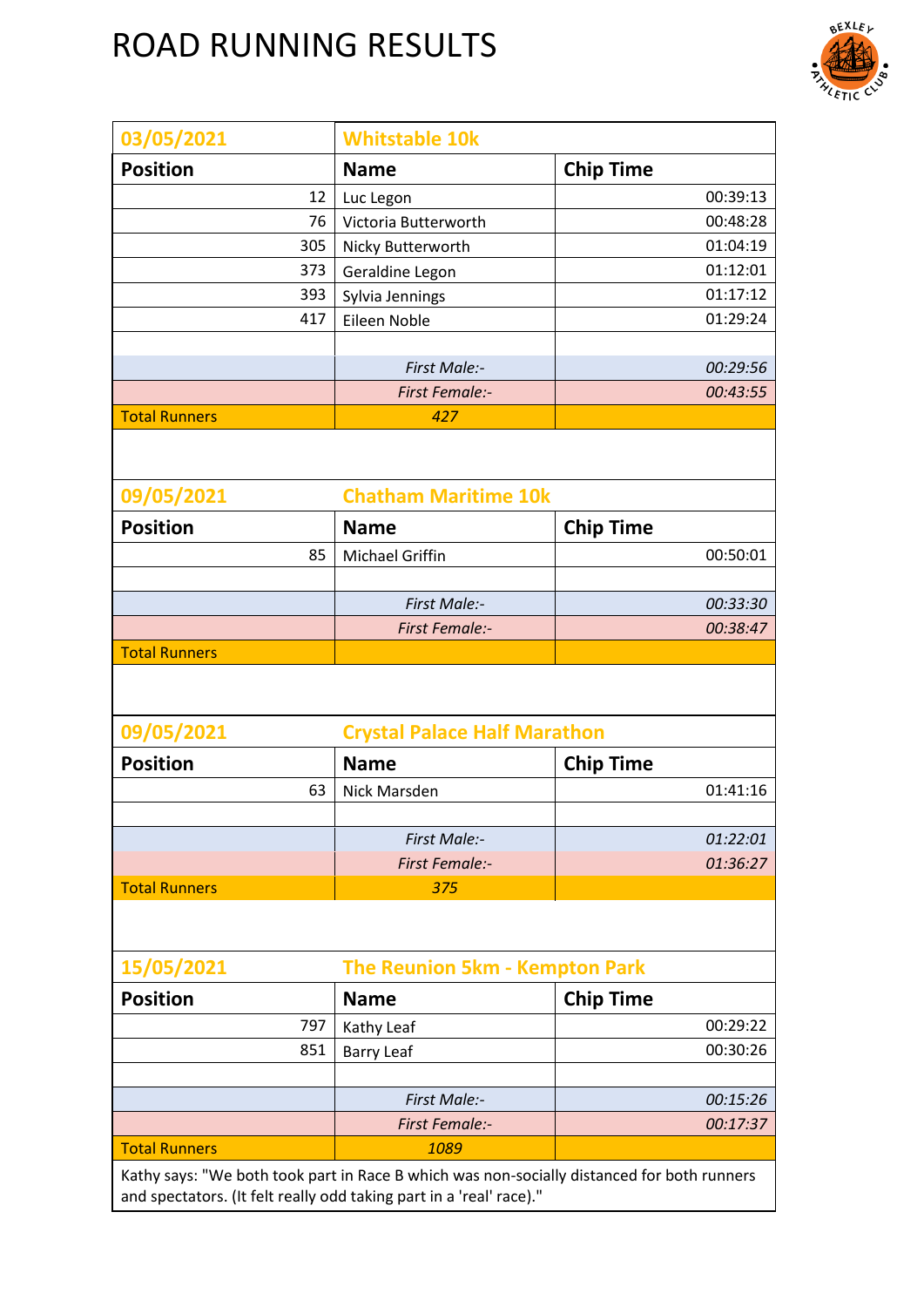

| 03/05/2021                                                                                                                                                        | <b>Whitstable 10k</b>                 |                  |  |
|-------------------------------------------------------------------------------------------------------------------------------------------------------------------|---------------------------------------|------------------|--|
| <b>Position</b>                                                                                                                                                   | <b>Name</b>                           | <b>Chip Time</b> |  |
| 12                                                                                                                                                                | Luc Legon                             | 00:39:13         |  |
| 76                                                                                                                                                                | Victoria Butterworth                  | 00:48:28         |  |
| 305                                                                                                                                                               | Nicky Butterworth                     | 01:04:19         |  |
| 373                                                                                                                                                               | Geraldine Legon                       | 01:12:01         |  |
| 393                                                                                                                                                               | Sylvia Jennings                       | 01:17:12         |  |
| 417                                                                                                                                                               | Eileen Noble                          | 01:29:24         |  |
|                                                                                                                                                                   |                                       |                  |  |
|                                                                                                                                                                   | First Male:-                          | 00:29:56         |  |
|                                                                                                                                                                   | <b>First Female:-</b>                 | 00:43:55         |  |
| <b>Total Runners</b>                                                                                                                                              | 427                                   |                  |  |
| 09/05/2021                                                                                                                                                        | <b>Chatham Maritime 10k</b>           |                  |  |
| <b>Position</b>                                                                                                                                                   | <b>Name</b>                           | <b>Chip Time</b> |  |
| 85                                                                                                                                                                | <b>Michael Griffin</b>                | 00:50:01         |  |
|                                                                                                                                                                   |                                       |                  |  |
|                                                                                                                                                                   | First Male:-                          | 00:33:30         |  |
|                                                                                                                                                                   | <b>First Female:-</b>                 | 00:38:47         |  |
| <b>Total Runners</b>                                                                                                                                              |                                       |                  |  |
|                                                                                                                                                                   |                                       |                  |  |
| 09/05/2021                                                                                                                                                        | <b>Crystal Palace Half Marathon</b>   |                  |  |
| <b>Position</b>                                                                                                                                                   | <b>Name</b>                           | <b>Chip Time</b> |  |
| 63                                                                                                                                                                | <b>Nick Marsden</b>                   | 01:41:16         |  |
|                                                                                                                                                                   |                                       |                  |  |
|                                                                                                                                                                   | First Male:-                          | 01:22:01         |  |
|                                                                                                                                                                   | <b>First Female:-</b>                 | 01:36:27         |  |
| <b>Total Runners</b>                                                                                                                                              | 375                                   |                  |  |
|                                                                                                                                                                   |                                       |                  |  |
| 15/05/2021                                                                                                                                                        | <b>The Reunion 5km - Kempton Park</b> |                  |  |
| <b>Position</b>                                                                                                                                                   | <b>Name</b>                           | <b>Chip Time</b> |  |
| 797                                                                                                                                                               | Kathy Leaf                            | 00:29:22         |  |
| 851                                                                                                                                                               | <b>Barry Leaf</b>                     | 00:30:26         |  |
|                                                                                                                                                                   |                                       |                  |  |
|                                                                                                                                                                   | First Male:-                          | 00:15:26         |  |
|                                                                                                                                                                   | <b>First Female:-</b>                 | 00:17:37         |  |
| <b>Total Runners</b>                                                                                                                                              | 1089                                  |                  |  |
| Kathy says: "We both took part in Race B which was non-socially distanced for both runners<br>and spectators. (It felt really odd taking part in a 'real' race)." |                                       |                  |  |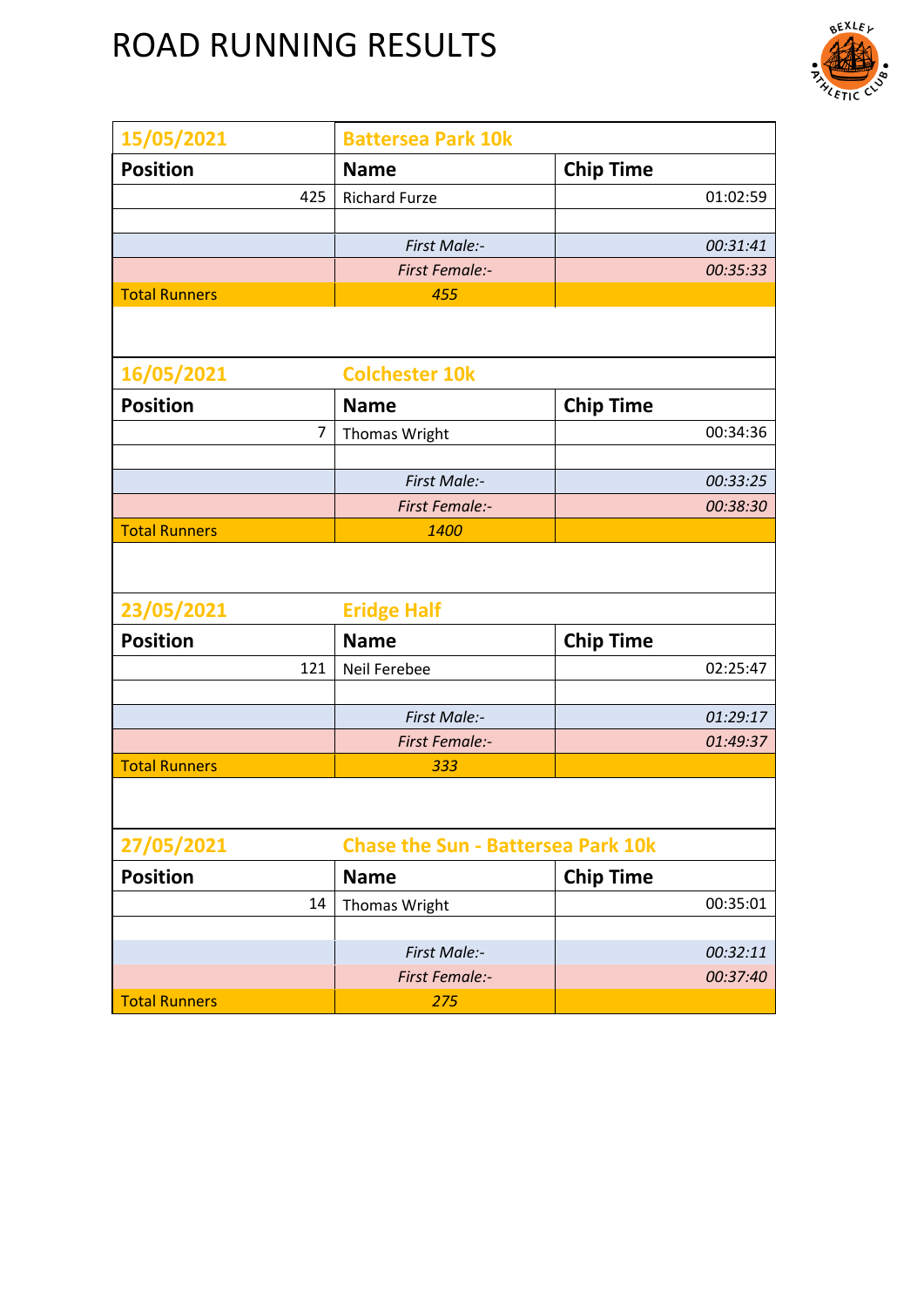

| 15/05/2021           | <b>Battersea Park 10k</b>                 |                  |
|----------------------|-------------------------------------------|------------------|
| <b>Position</b>      | <b>Name</b>                               | <b>Chip Time</b> |
| 425                  | <b>Richard Furze</b>                      | 01:02:59         |
|                      |                                           |                  |
|                      | First Male:-                              | 00:31:41         |
|                      | <b>First Female:-</b>                     | 00:35:33         |
| <b>Total Runners</b> | 455                                       |                  |
|                      |                                           |                  |
| 16/05/2021           | <b>Colchester 10k</b>                     |                  |
| <b>Position</b>      | <b>Name</b>                               | <b>Chip Time</b> |
| $\overline{7}$       | Thomas Wright                             | 00:34:36         |
|                      |                                           |                  |
|                      | First Male:-                              | 00:33:25         |
|                      | <b>First Female:-</b>                     | 00:38:30         |
| <b>Total Runners</b> | 1400                                      |                  |
|                      |                                           |                  |
| 23/05/2021           | <b>Eridge Half</b>                        |                  |
| <b>Position</b>      | <b>Name</b>                               | <b>Chip Time</b> |
| 121                  | Neil Ferebee                              | 02:25:47         |
|                      |                                           |                  |
|                      | First Male:-                              | 01:29:17         |
|                      | <b>First Female:-</b>                     | 01:49:37         |
| <b>Total Runners</b> | 333                                       |                  |
|                      |                                           |                  |
| 27/05/2021           | <b>Chase the Sun - Battersea Park 10k</b> |                  |
| <b>Position</b>      | <b>Name</b>                               | <b>Chip Time</b> |
| 14                   | Thomas Wright                             | 00:35:01         |
|                      |                                           |                  |
|                      | First Male:-                              | 00:32:11         |
|                      | <b>First Female:-</b>                     | 00:37:40         |
| <b>Total Runners</b> | 275                                       |                  |